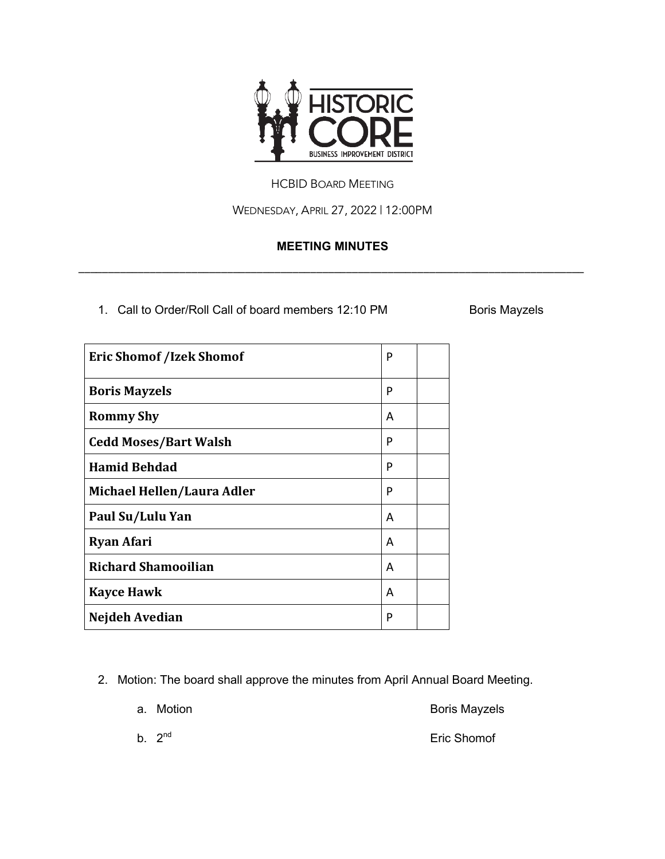

## HCBID BOARD MEETING

WEDNESDAY, APRIL 27, 2022 | 12:00PM

## **MEETING MINUTES**

\_\_\_\_\_\_\_\_\_\_\_\_\_\_\_\_\_\_\_\_\_\_\_\_\_\_\_\_\_\_\_\_\_\_\_\_\_\_\_\_\_\_\_\_\_\_\_\_\_\_\_\_\_\_\_\_\_\_\_\_\_\_\_\_\_\_\_\_\_\_\_\_\_\_\_\_\_\_\_\_\_\_\_\_\_

1. Call to Order/Roll Call of board members 12:10 PM Boris Mayzels

| <b>Eric Shomof /Izek Shomof</b> |   |  |
|---------------------------------|---|--|
| <b>Boris Mayzels</b>            | P |  |
| <b>Rommy Shy</b>                | A |  |
| <b>Cedd Moses/Bart Walsh</b>    | P |  |
| <b>Hamid Behdad</b>             | P |  |
| Michael Hellen/Laura Adler      | P |  |
| Paul Su/Lulu Yan                | A |  |
| <b>Ryan Afari</b>               | A |  |
| <b>Richard Shamooilian</b>      | A |  |
| <b>Kayce Hawk</b>               | A |  |
| Nejdeh Avedian                  | P |  |

2. Motion: The board shall approve the minutes from April Annual Board Meeting.

|  | a. Motion | <b>Boris Mayzels</b> |
|--|-----------|----------------------|
|--|-----------|----------------------|

b.  $2^{nd}$  Eric Shomof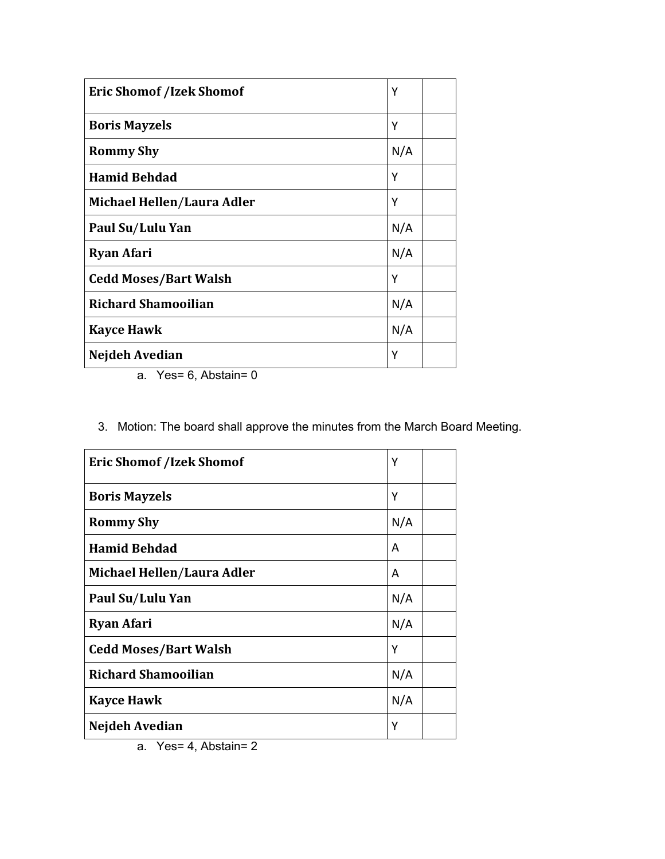| <b>Eric Shomof /Izek Shomof</b> | Υ   |
|---------------------------------|-----|
| <b>Boris Mayzels</b>            | Υ   |
| <b>Rommy Shy</b>                | N/A |
| <b>Hamid Behdad</b>             | Y   |
| Michael Hellen/Laura Adler      | Υ   |
| Paul Su/Lulu Yan                | N/A |
| <b>Ryan Afari</b>               | N/A |
| <b>Cedd Moses/Bart Walsh</b>    | Υ   |
| <b>Richard Shamooilian</b>      | N/A |
| <b>Kayce Hawk</b>               | N/A |
| Nejdeh Avedian                  | Υ   |

a. Yes= 6, Abstain= 0

3. Motion: The board shall approve the minutes from the March Board Meeting.

| <b>Eric Shomof /Izek Shomof</b> | Υ   |
|---------------------------------|-----|
| <b>Boris Mayzels</b>            | Υ   |
| <b>Rommy Shy</b>                | N/A |
| <b>Hamid Behdad</b>             | A   |
| Michael Hellen/Laura Adler      | A   |
| Paul Su/Lulu Yan                | N/A |
| <b>Ryan Afari</b>               | N/A |
| <b>Cedd Moses/Bart Walsh</b>    | Y   |
| <b>Richard Shamooilian</b>      | N/A |
| <b>Kayce Hawk</b>               | N/A |
| Nejdeh Avedian                  | Υ   |

a. Yes= 4, Abstain= 2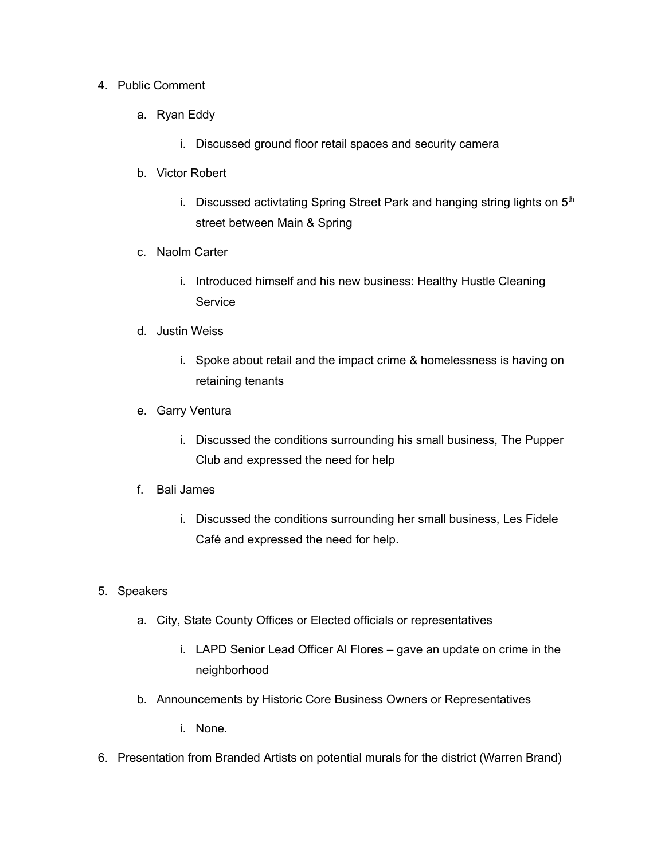## 4. Public Comment

- a. Ryan Eddy
	- i. Discussed ground floor retail spaces and security camera
- b. Victor Robert
	- i. Discussed activtating Spring Street Park and hanging string lights on  $5<sup>th</sup>$ street between Main & Spring
- c. Naolm Carter
	- i. Introduced himself and his new business: Healthy Hustle Cleaning **Service**
- d. Justin Weiss
	- i. Spoke about retail and the impact crime & homelessness is having on retaining tenants
- e. Garry Ventura
	- i. Discussed the conditions surrounding his small business, The Pupper Club and expressed the need for help
- f. Bali James
	- i. Discussed the conditions surrounding her small business, Les Fidele Café and expressed the need for help.

## 5. Speakers

- a. City, State County Offices or Elected officials or representatives
	- i. LAPD Senior Lead Officer Al Flores gave an update on crime in the neighborhood
- b. Announcements by Historic Core Business Owners or Representatives
	- i. None.
- 6. Presentation from Branded Artists on potential murals for the district (Warren Brand)